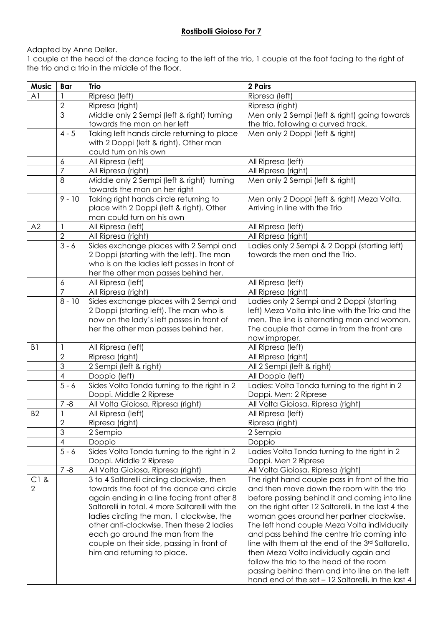## **Rostibolli Gioioso For 7**

Adapted by Anne Deller.

1 couple at the head of the dance facing to the left of the trio, 1 couple at the foot facing to the right of the trio and a trio in the middle of the floor.

| <b>Music</b>   | <b>Bar</b>              | <b>Trio</b>                                                            | 2 Pairs                                                                           |
|----------------|-------------------------|------------------------------------------------------------------------|-----------------------------------------------------------------------------------|
| A <sub>1</sub> |                         | Ripresa (left)                                                         | Ripresa (left)                                                                    |
|                | $\overline{2}$          | Ripresa (right)                                                        | Ripresa (right)                                                                   |
|                | 3                       | Middle only 2 Sempi (left & right) turning                             | Men only 2 Sempi (left & right) going towards                                     |
|                |                         | towards the man on her left                                            | the trio, following a curved track.                                               |
|                | $4 - 5$                 | Taking left hands circle returning to place                            | Men only 2 Doppi (left & right)                                                   |
|                |                         | with 2 Doppi (left & right). Other man                                 |                                                                                   |
|                |                         | could turn on his own                                                  |                                                                                   |
|                | 6                       | All Ripresa (left)                                                     | All Ripresa (left)                                                                |
|                | 7                       | All Ripresa (right)                                                    | All Ripresa (right)                                                               |
|                | 8                       | Middle only 2 Sempi (left & right) turning                             | Men only 2 Sempi (left & right)                                                   |
|                | $9 - 10$                | towards the man on her right<br>Taking right hands circle returning to | Men only 2 Doppi (left & right) Meza Volta.                                       |
|                |                         | place with 2 Doppi (left & right). Other                               | Arriving in line with the Trio                                                    |
|                |                         | man could turn on his own                                              |                                                                                   |
| A2             | $\mathbf{1}$            | All Ripresa (left)                                                     | All Ripresa (left)                                                                |
|                | $\overline{2}$          | All Ripresa (right)                                                    | All Ripresa (right)                                                               |
|                | $3 - 6$                 | Sides exchange places with 2 Sempi and                                 | Ladies only 2 Sempi & 2 Doppi (starting left)                                     |
|                |                         | 2 Doppi (starting with the left). The man                              | towards the men and the Trio.                                                     |
|                |                         | who is on the ladies left passes in front of                           |                                                                                   |
|                |                         | her the other man passes behind her.                                   |                                                                                   |
|                | $\boldsymbol{6}$        | All Ripresa (left)                                                     | All Ripresa (left)                                                                |
|                | 7                       | All Ripresa (right)                                                    | All Ripresa (right)                                                               |
|                | $8 - 10$                | Sides exchange places with 2 Sempi and                                 | Ladies only 2 Sempi and 2 Doppi (starting                                         |
|                |                         | 2 Doppi (starting left). The man who is                                | left) Meza Volta into line with the Trio and the                                  |
|                |                         | now on the lady's left passes in front of                              | men. The line is alternating man and woman.                                       |
|                |                         | her the other man passes behind her.                                   | The couple that came in from the front are                                        |
|                |                         |                                                                        | now improper.                                                                     |
| B <sub>1</sub> |                         | All Ripresa (left)                                                     | All Ripresa (left)                                                                |
|                | $\overline{2}$          | Ripresa (right)                                                        | All Ripresa (right)                                                               |
|                | 3                       | 2 Sempi (left & right)                                                 | All 2 Sempi (left & right)                                                        |
|                | 4<br>$\overline{5} - 6$ | Doppio (left)                                                          | All Doppio (left)                                                                 |
|                |                         | Sides Volta Tonda turning to the right in 2<br>Doppi. Middle 2 Riprese | Ladies: Volta Tonda turning to the right in 2<br>Doppi. Men: 2 Riprese            |
|                | $7 - 8$                 | All Volta Gioiosa, Ripresa (right)                                     | All Volta Gioiosa, Ripresa (right)                                                |
| B <sub>2</sub> | $\mathbf{1}$            | All Ripresa (left)                                                     | All Ripresa (left)                                                                |
|                | $\overline{2}$          | Ripresa (right)                                                        | Ripresa (right)                                                                   |
|                | 3                       | 2 Sempio                                                               | 2 Sempio                                                                          |
|                | 4                       | Doppio                                                                 | Doppio                                                                            |
|                | $5 - 6$                 | Sides Volta Tonda turning to the right in 2                            | Ladies Volta Tonda turning to the right in 2                                      |
|                |                         | Doppi. Middle 2 Riprese                                                | Doppi. Men 2 Riprese                                                              |
|                | $7 - 8$                 | All Volta Gioiosa, Ripresa (right)                                     | All Volta Gioiosa, Ripresa (right)                                                |
| $C1$ &         |                         | 3 to 4 Saltarelli circling clockwise, then                             | The right hand couple pass in front of the trio                                   |
| 2              |                         | towards the foot of the dance and circle                               | and then move down the room with the trio                                         |
|                |                         | again ending in a line facing front after 8                            | before passing behind it and coming into line                                     |
|                |                         | Saltarelli in total. 4 more Saltarelli with the                        | on the right after 12 Saltarelli. In the last 4 the                               |
|                |                         | ladies circling the man, 1 clockwise, the                              | woman goes around her partner clockwise.                                          |
|                |                         | other anti-clockwise. Then these 2 ladies                              | The left hand couple Meza Volta individually                                      |
|                |                         | each go around the man from the                                        | and pass behind the centre trio coming into                                       |
|                |                         | couple on their side, passing in front of                              | line with them at the end of the 3rd Saltarello,                                  |
|                |                         | him and returning to place.                                            | then Meza Volta individually again and<br>follow the trio to the head of the room |
|                |                         |                                                                        | passing behind them and into line on the left                                     |
|                |                         |                                                                        | hand end of the set - 12 Saltarelli. In the last 4                                |